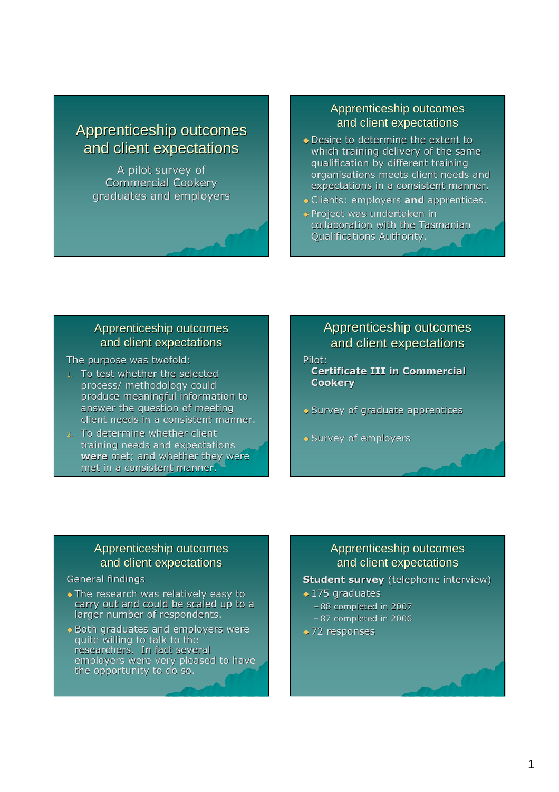# Apprenticeship outcomes and client expectations

A pilot survey of Commercial Cookery graduates and employers

#### Apprenticeship outcomes and client expectations

- Desire to determine the extent to which training delivery of the same qualification by different training organisations meets client needs and expectations in a consistent manner.
- **Clients: employers and apprentices.**
- ◆ Project was undertaken in collaboration with the Tasmanian Qualifications Authority.

#### Apprenticeship outcomes and client expectations

The purpose was twofold:

- 1. To test whether the selected process/ methodology could produce meaningful information to answer the question of meeting client needs in a consistent manner.
- 2. To determine whether client training needs and expectations were met; and whether they were met in a consistent manner.

# Apprenticeship outcomes and client expectations

Pilot:

Certificate III in Commercial **Cookery** 

- ◆ Survey of graduate apprentices
- ◆ Survey of employers

### Apprenticeship outcomes and client expectations

#### General findings

- ◆ The research was relatively easy to carry out and could be scaled up to a larger number of respondents.
- ◆ Both graduates and employers were quite willing to talk to the researchers. In fact several employers were very pleased to have the opportunity to do so.

### Apprenticeship outcomes and client expectations

#### **Student survey** (telephone interview)

- ◆ 175 graduates – 88 completed in 2007
	- 87 completed in 2006
- ◆ 72 responses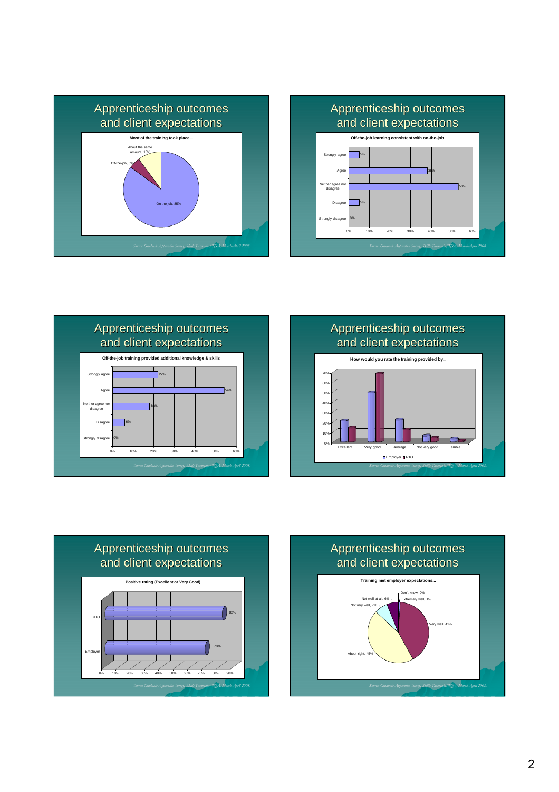









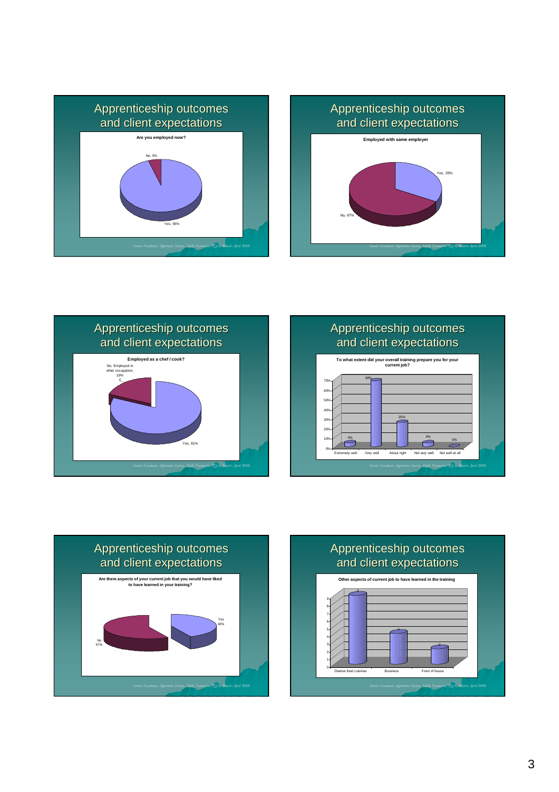











### Apprenticeship outcomes and client expectations

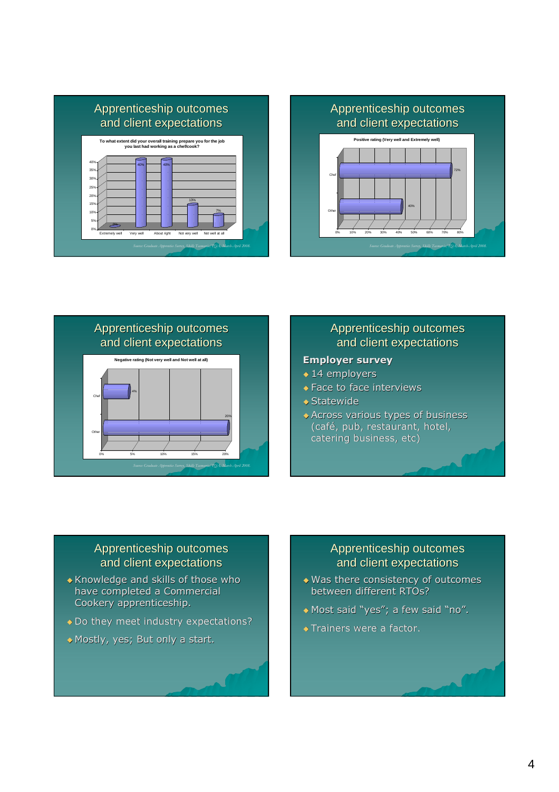





# Apprenticeship outcomes and client expectations

#### Employer survey

- ◆ 14 employers
- ◆ Face to face interviews
- ◆ Statewide
- Across various types of business (café, pub, restaurant, hotel, catering business, etc)

## Apprenticeship outcomes and client expectations

- Knowledge and skills of those who have completed a Commercial Cookery apprenticeship.
- ◆ Do they meet industry expectations?
- Mostly, yes; But only a start.

### Apprenticeship outcomes and client expectations

- Was there consistency of outcomes between different RTOs?
- Most said "yes"; a few said "no".
- **Trainers were a factor.**